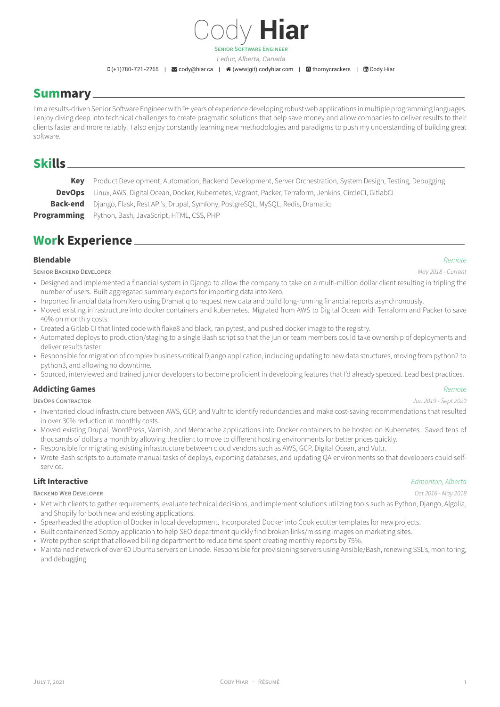# Cody **Hiar** SENiOR SOFTWARE ENGiNEER

*Leduc, Alberta, Canada*

 $\Box$ (+1)780-721-2265 |  $\Box$  cody@hiar.ca |  $\bigcirc$  (www|git).codyhiar.com |  $\Box$  thornycrackers |  $\Box$  Cody Hiar

## **Summary**

I'm a results-driven Senior Software Engineer [with 9+ years of](mailto:cody@hiar.ca) exp[erience developing rob](http://(www|git).codyhiar.com)ust [web application](https://github.com/thornycrackers)s in [multiple p](https://www.linkedin.com/in/Cody Hiar)rogramming languages. I enjoy diving deep into technical challenges to create pragmatic solutions that help save money and allow companies to deliver results to their clients faster and more reliably. I also enjoy constantly learning new methodologies and paradigms to push my understanding of building great software.

## **Skills**

**Key** Product Development, Automation, Backend Development, Server Orchestration, System Design, Testing, Debugging

**DevOps** Linux, AWS, Digital Ocean, Docker, Kubernetes, Vagrant, Packer, Terraform, Jenkins, CircleCI, GitlabCI

**Back‑end** Django, Flask, Rest API's, Drupal, Symfony, PostgreSQL, MySQL, Redis, Dramatiq

**Programming** Python, Bash, JavaScript, HTML, CSS, PHP

## **Work Experience**

### **Blendable** *Remote*

SENiOR BACKEND DEVELOPER *May 2018 ‑ Current*

- Designed and implemented a financial system in Django to allow the company to take on a multi-million dollar client resulting in tripling the number of users. Built aggregated summary exports for importing data into Xero.
- Imported financial data from Xero using Dramatiq to request new data and build long-running financial reports asynchronously.
- Moved existing infrastructure into docker containers and kubernetes. Migrated from AWS to Digital Ocean with Terraform and Packer to save 40% on monthly costs.
- Created a Gitlab CI that linted code with flake8 and black, ran pytest, and pushed docker image to the registry.
- Automated deploys to production/staging to a single Bash script so that the junior team members could take ownership of deployments and deliver results faster.
- Responsible for migration of complex business-critical Django application, including updating to new data structures, moving from python2 to python3, and allowing no downtime.
- Sourced, interviewed and trained junior developers to become proficient in developing features that I'd already specced. Lead best practices.

### **Addicting Games** *Remote*

DEVOPS CONTRACTOR *Jun 2019 ‑ Sept 2020*

- Inventoried cloud infrastructure between AWS, GCP, and Vultr to identify redundancies and make cost-saving recommendations that resulted in over 30% reduction in monthly costs.
- Moved existing Drupal, WordPress, Varnish, and Memcache applications into Docker containers to be hosted on Kubernetes. Saved tens of thousands of dollars a month by allowing the client to move to different hosting environments for better prices quickly.
- Responsible for migrating existing infrastructure between cloud vendors such as AWS, GCP, Digital Ocean, and Vultr.
- Wrote Bash scripts to automate manual tasks of deploys, exporting databases, and updating QA environments so that developers could selfservice.

### **Lift Interactive** *Edmonton, Alberta*

BACKEND WEB DEVELOPER *Oct 2016 ‑ May 2018*

- Met with clients to gather requirements, evaluate technical decisions, and implement solutions utilizing tools such as Python, Django, Algolia, and Shopify for both new and existing applications.
- Spearheaded the adoption of Docker in local development. Incorporated Docker into Cookiecutter templates for new projects.
- Built containerized Scrapy application to help SEO department quickly find broken links/missing images on marketing sites.
- Wrote python script that allowed billing department to reduce time spent creating monthly reports by 75%.
- Maintained network of over 60 Ubuntu servers on Linode. Responsible for provisioning servers using Ansible/Bash, renewing SSL's, monitoring, and debugging.